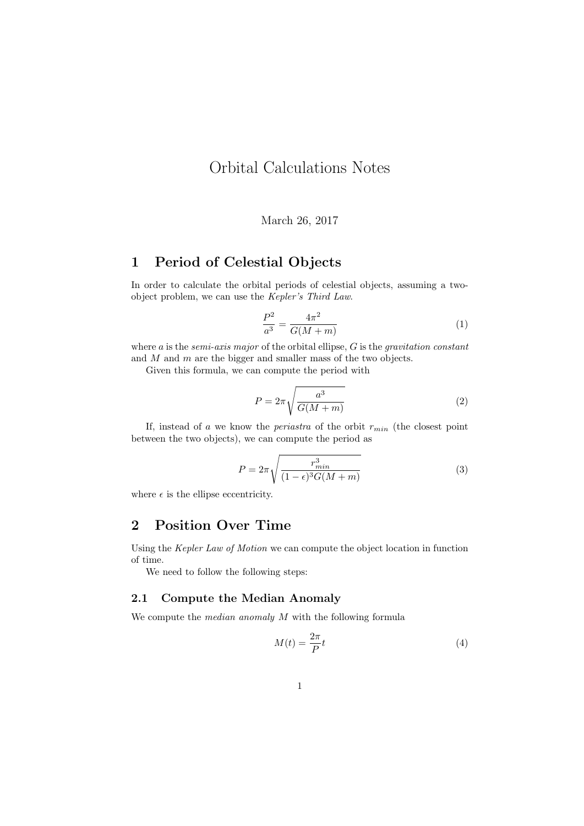# Orbital Calculations Notes

March 26, 2017

### 1 Period of Celestial Objects

In order to calculate the orbital periods of celestial objects, assuming a twoobject problem, we can use the Kepler's Third Law.

$$
\frac{P^2}{a^3} = \frac{4\pi^2}{G(M+m)}\tag{1}
$$

where a is the *semi-axis major* of the orbital ellipse,  $G$  is the *gravitation constant* and  $M$  and  $m$  are the bigger and smaller mass of the two objects.

Given this formula, we can compute the period with

$$
P = 2\pi \sqrt{\frac{a^3}{G(M+m)}}
$$
 (2)

If, instead of a we know the *periastra* of the orbit  $r_{min}$  (the closest point between the two objects), we can compute the period as

$$
P = 2\pi \sqrt{\frac{r_{min}^3}{(1 - \epsilon)^3 G(M + m)}}
$$
(3)

where  $\epsilon$  is the ellipse eccentricity.

### 2 Position Over Time

Using the Kepler Law of Motion we can compute the object location in function of time.

We need to follow the following steps:

#### 2.1 Compute the Median Anomaly

We compute the *median anomaly M* with the following formula

$$
M(t) = \frac{2\pi}{P}t\tag{4}
$$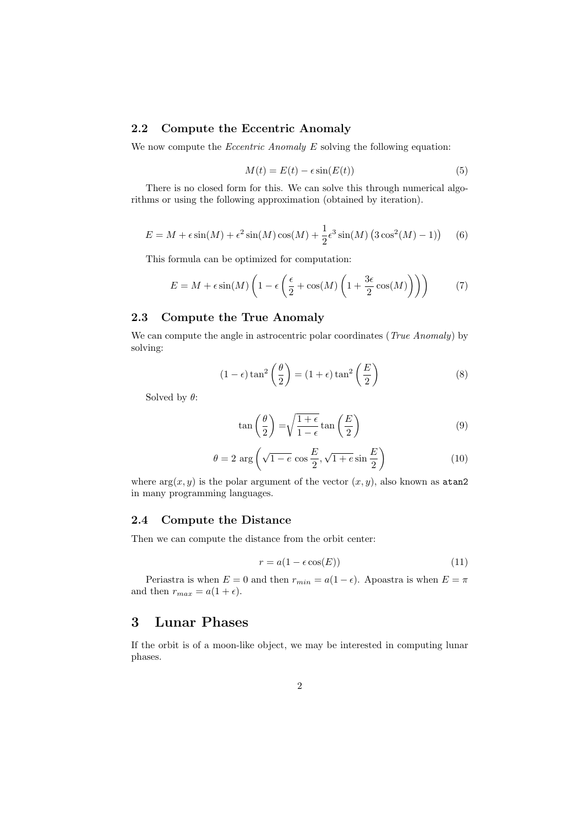#### 2.2 Compute the Eccentric Anomaly

We now compute the *Eccentric Anomaly E* solving the following equation:

$$
M(t) = E(t) - \epsilon \sin(E(t))\tag{5}
$$

There is no closed form for this. We can solve this through numerical algorithms or using the following approximation (obtained by iteration).

$$
E = M + \epsilon \sin(M) + \epsilon^2 \sin(M) \cos(M) + \frac{1}{2} \epsilon^3 \sin(M) \left( 3 \cos^2(M) - 1 \right) \tag{6}
$$

This formula can be optimized for computation:

$$
E = M + \epsilon \sin(M) \left( 1 - \epsilon \left( \frac{\epsilon}{2} + \cos(M) \left( 1 + \frac{3\epsilon}{2} \cos(M) \right) \right) \right) \tag{7}
$$

#### 2.3 Compute the True Anomaly

We can compute the angle in astrocentric polar coordinates (*True Anomaly*) by solving:

$$
(1 - \epsilon) \tan^2\left(\frac{\theta}{2}\right) = (1 + \epsilon) \tan^2\left(\frac{E}{2}\right)
$$
 (8)

Solved by  $\theta$ :

$$
\tan\left(\frac{\theta}{2}\right) = \sqrt{\frac{1+\epsilon}{1-\epsilon}} \tan\left(\frac{E}{2}\right) \tag{9}
$$

$$
\theta = 2 \arg \left( \sqrt{1 - e} \cos \frac{E}{2}, \sqrt{1 + e} \sin \frac{E}{2} \right) \tag{10}
$$

where  $arg(x, y)$  is the polar argument of the vector  $(x, y)$ , also known as atan2 in many programming languages.

#### 2.4 Compute the Distance

Then we can compute the distance from the orbit center:

$$
r = a(1 - \epsilon \cos(E))\tag{11}
$$

Periastra is when  $E = 0$  and then  $r_{min} = a(1 - \epsilon)$ . Apoastra is when  $E = \pi$ and then  $r_{max} = a(1 + \epsilon)$ .

### 3 Lunar Phases

If the orbit is of a moon-like object, we may be interested in computing lunar phases.